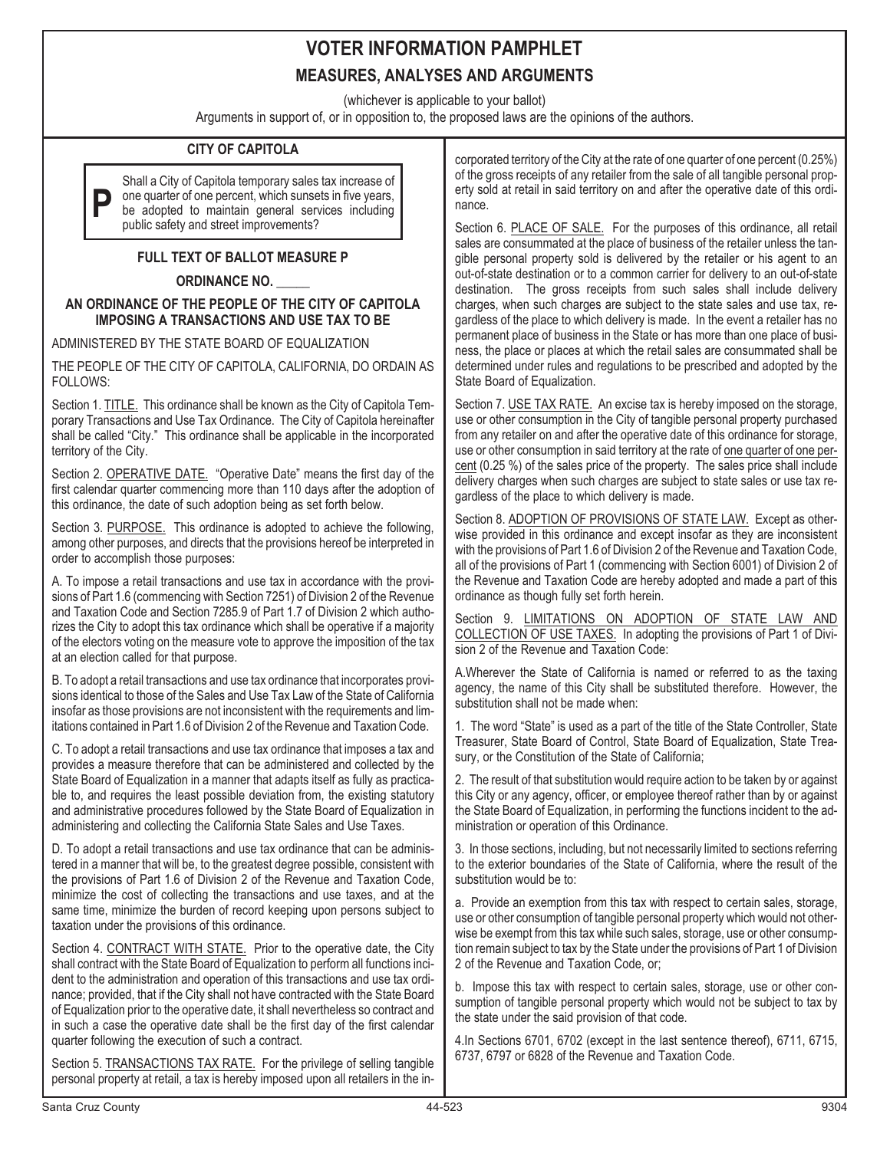### **VOTER INFORMATION PAMPHLET MEASURES, ANALYSES AND ARGUMENTS**

(whichever is applicable to your ballot)

Arguments in support of, or in opposition to, the proposed laws are the opinions of the authors.

### **CITY OF CAPITOLA**

**P** Shall a City of Capitola temporary sales tax increase of one quarter of one percent, which sunsets in five years, be adopted to maintain general services including public safety and street improvements?

### **FULL TEXT OF BALLOT MEASURE P**

#### **ORDINANCE NO. \_\_\_\_\_**

#### **AN ORDINANCE OF THE PEOPLE OF THE CITY OF CAPITOLA IMPOSING A TRANSACTIONS AND USE TAX TO BE**

ADMINISTERED BY THE STATE BOARD OF EQUALIZATION

THE PEOPLE OF THE CITY OF CAPITOLA, CALIFORNIA, DO ORDAIN AS FOLLOWS:

Section 1. TITLE. This ordinance shall be known as the City of Capitola Temporary Transactions and Use Tax Ordinance. The City of Capitola hereinafter shall be called "City." This ordinance shall be applicable in the incorporated territory of the City.

Section 2. OPERATIVE DATE. "Operative Date" means the first day of the first calendar quarter commencing more than 110 days after the adoption of this ordinance, the date of such adoption being as set forth below.

Section 3. PURPOSE. This ordinance is adopted to achieve the following, among other purposes, and directs that the provisions hereof be interpreted in order to accomplish those purposes:

A. To impose a retail transactions and use tax in accordance with the provisions of Part 1.6 (commencing with Section 7251) of Division 2 of the Revenue and Taxation Code and Section 7285.9 of Part 1.7 of Division 2 which authorizes the City to adopt this tax ordinance which shall be operative if a majority of the electors voting on the measure vote to approve the imposition of the tax at an election called for that purpose.

B. To adopt a retail transactions and use tax ordinance that incorporates provisions identical to those of the Sales and Use Tax Law of the State of California insofar as those provisions are not inconsistent with the requirements and limitations contained in Part 1.6 of Division 2 of the Revenue and Taxation Code.

C. To adopt a retail transactions and use tax ordinance that imposes a tax and provides a measure therefore that can be administered and collected by the State Board of Equalization in a manner that adapts itself as fully as practicable to, and requires the least possible deviation from, the existing statutory and administrative procedures followed by the State Board of Equalization in administering and collecting the California State Sales and Use Taxes.

D. To adopt a retail transactions and use tax ordinance that can be administered in a manner that will be, to the greatest degree possible, consistent with the provisions of Part 1.6 of Division 2 of the Revenue and Taxation Code, minimize the cost of collecting the transactions and use taxes, and at the same time, minimize the burden of record keeping upon persons subject to taxation under the provisions of this ordinance.

Section 4. CONTRACT WITH STATE. Prior to the operative date, the City shall contract with the State Board of Equalization to perform all functions incident to the administration and operation of this transactions and use tax ordinance; provided, that if the City shall not have contracted with the State Board of Equalization prior to the operative date, it shall nevertheless so contract and in such a case the operative date shall be the first day of the first calendar quarter following the execution of such a contract.

Section 5. TRANSACTIONS TAX RATE. For the privilege of selling tangible personal property at retail, a tax is hereby imposed upon all retailers in the incorporated territory of the City at the rate of one quarter of one percent (0.25%) of the gross receipts of any retailer from the sale of all tangible personal property sold at retail in said territory on and after the operative date of this ordinance.

Section 6. PLACE OF SALE. For the purposes of this ordinance, all retail sales are consummated at the place of business of the retailer unless the tangible personal property sold is delivered by the retailer or his agent to an out-of-state destination or to a common carrier for delivery to an out-of-state destination. The gross receipts from such sales shall include delivery charges, when such charges are subject to the state sales and use tax, regardless of the place to which delivery is made. In the event a retailer has no permanent place of business in the State or has more than one place of business, the place or places at which the retail sales are consummated shall be determined under rules and regulations to be prescribed and adopted by the State Board of Equalization.

Section 7. USE TAX RATE. An excise tax is hereby imposed on the storage, use or other consumption in the City of tangible personal property purchased from any retailer on and after the operative date of this ordinance for storage, use or other consumption in said territory at the rate of one quarter of one percent (0.25 %) of the sales price of the property. The sales price shall include delivery charges when such charges are subject to state sales or use tax regardless of the place to which delivery is made.

Section 8. ADOPTION OF PROVISIONS OF STATE LAW. Except as otherwise provided in this ordinance and except insofar as they are inconsistent with the provisions of Part 1.6 of Division 2 of the Revenue and Taxation Code, all of the provisions of Part 1 (commencing with Section 6001) of Division 2 of the Revenue and Taxation Code are hereby adopted and made a part of this ordinance as though fully set forth herein.

Section 9. LIMITATIONS ON ADOPTION OF STATE LAW AND COLLECTION OF USE TAXES. In adopting the provisions of Part 1 of Division 2 of the Revenue and Taxation Code:

A.Wherever the State of California is named or referred to as the taxing agency, the name of this City shall be substituted therefore. However, the substitution shall not be made when:

1. The word "State" is used as a part of the title of the State Controller, State Treasurer, State Board of Control, State Board of Equalization, State Treasury, or the Constitution of the State of California;

2. The result of that substitution would require action to be taken by or against this City or any agency, officer, or employee thereof rather than by or against the State Board of Equalization, in performing the functions incident to the administration or operation of this Ordinance.

3. In those sections, including, but not necessarily limited to sections referring to the exterior boundaries of the State of California, where the result of the substitution would be to:

a. Provide an exemption from this tax with respect to certain sales, storage, use or other consumption of tangible personal property which would not otherwise be exempt from this tax while such sales, storage, use or other consumption remain subject to tax by the State under the provisions of Part 1 of Division 2 of the Revenue and Taxation Code, or;

b. Impose this tax with respect to certain sales, storage, use or other consumption of tangible personal property which would not be subject to tax by the state under the said provision of that code.

4.In Sections 6701, 6702 (except in the last sentence thereof), 6711, 6715, 6737, 6797 or 6828 of the Revenue and Taxation Code.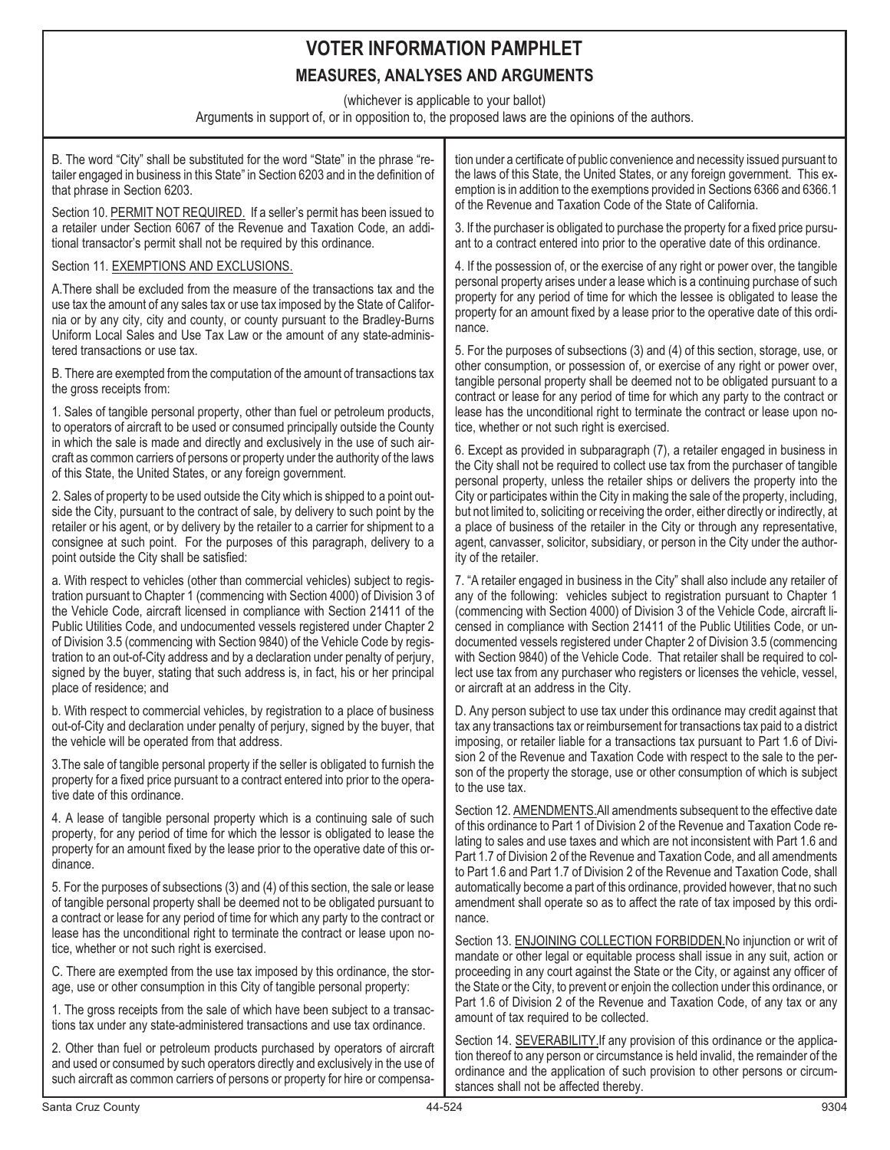## **VOTER INFORMATION PAMPHLET MEASURES, ANALYSES AND ARGUMENTS**

(whichever is applicable to your ballot)

Arguments in support of, or in opposition to, the proposed laws are the opinions of the authors.

| B. The word "City" shall be substituted for the word "State" in the phrase "re-<br>tailer engaged in business in this State" in Section 6203 and in the definition of<br>that phrase in Section 6203.                                                                                                                                                                                                                                                                                                                                                                                                           | tion under a certificate of public convenience and necessity issued pursuant to<br>the laws of this State, the United States, or any foreign government. This ex-<br>emption is in addition to the exemptions provided in Sections 6366 and 6366.1                                                                                                                                                                                                                                                                                                                                                                                                                                                                                      |
|-----------------------------------------------------------------------------------------------------------------------------------------------------------------------------------------------------------------------------------------------------------------------------------------------------------------------------------------------------------------------------------------------------------------------------------------------------------------------------------------------------------------------------------------------------------------------------------------------------------------|-----------------------------------------------------------------------------------------------------------------------------------------------------------------------------------------------------------------------------------------------------------------------------------------------------------------------------------------------------------------------------------------------------------------------------------------------------------------------------------------------------------------------------------------------------------------------------------------------------------------------------------------------------------------------------------------------------------------------------------------|
| Section 10. PERMIT NOT REQUIRED. If a seller's permit has been issued to<br>a retailer under Section 6067 of the Revenue and Taxation Code, an addi-<br>tional transactor's permit shall not be required by this ordinance.                                                                                                                                                                                                                                                                                                                                                                                     | of the Revenue and Taxation Code of the State of California.<br>3. If the purchaser is obligated to purchase the property for a fixed price pursu-<br>ant to a contract entered into prior to the operative date of this ordinance.                                                                                                                                                                                                                                                                                                                                                                                                                                                                                                     |
| Section 11. EXEMPTIONS AND EXCLUSIONS.                                                                                                                                                                                                                                                                                                                                                                                                                                                                                                                                                                          | 4. If the possession of, or the exercise of any right or power over, the tangible                                                                                                                                                                                                                                                                                                                                                                                                                                                                                                                                                                                                                                                       |
| A. There shall be excluded from the measure of the transactions tax and the<br>use tax the amount of any sales tax or use tax imposed by the State of Califor-<br>nia or by any city, city and county, or county pursuant to the Bradley-Burns<br>Uniform Local Sales and Use Tax Law or the amount of any state-adminis-<br>tered transactions or use tax.                                                                                                                                                                                                                                                     | personal property arises under a lease which is a continuing purchase of such<br>property for any period of time for which the lessee is obligated to lease the<br>property for an amount fixed by a lease prior to the operative date of this ordi-<br>nance.<br>5. For the purposes of subsections (3) and (4) of this section, storage, use, or<br>other consumption, or possession of, or exercise of any right or power over,<br>tangible personal property shall be deemed not to be obligated pursuant to a<br>contract or lease for any period of time for which any party to the contract or<br>lease has the unconditional right to terminate the contract or lease upon no-<br>tice, whether or not such right is exercised. |
| B. There are exempted from the computation of the amount of transactions tax<br>the gross receipts from:                                                                                                                                                                                                                                                                                                                                                                                                                                                                                                        |                                                                                                                                                                                                                                                                                                                                                                                                                                                                                                                                                                                                                                                                                                                                         |
| 1. Sales of tangible personal property, other than fuel or petroleum products,<br>to operators of aircraft to be used or consumed principally outside the County<br>in which the sale is made and directly and exclusively in the use of such air-<br>craft as common carriers of persons or property under the authority of the laws<br>of this State, the United States, or any foreign government.                                                                                                                                                                                                           |                                                                                                                                                                                                                                                                                                                                                                                                                                                                                                                                                                                                                                                                                                                                         |
|                                                                                                                                                                                                                                                                                                                                                                                                                                                                                                                                                                                                                 | 6. Except as provided in subparagraph (7), a retailer engaged in business in<br>the City shall not be required to collect use tax from the purchaser of tangible<br>personal property, unless the retailer ships or delivers the property into the<br>City or participates within the City in making the sale of the property, including,<br>but not limited to, soliciting or receiving the order, either directly or indirectly, at<br>a place of business of the retailer in the City or through any representative,<br>agent, canvasser, solicitor, subsidiary, or person in the City under the author-<br>ity of the retailer.                                                                                                     |
| 2. Sales of property to be used outside the City which is shipped to a point out-<br>side the City, pursuant to the contract of sale, by delivery to such point by the<br>retailer or his agent, or by delivery by the retailer to a carrier for shipment to a<br>consignee at such point. For the purposes of this paragraph, delivery to a<br>point outside the City shall be satisfied:                                                                                                                                                                                                                      |                                                                                                                                                                                                                                                                                                                                                                                                                                                                                                                                                                                                                                                                                                                                         |
| a. With respect to vehicles (other than commercial vehicles) subject to regis-<br>tration pursuant to Chapter 1 (commencing with Section 4000) of Division 3 of<br>the Vehicle Code, aircraft licensed in compliance with Section 21411 of the<br>Public Utilities Code, and undocumented vessels registered under Chapter 2<br>of Division 3.5 (commencing with Section 9840) of the Vehicle Code by regis-<br>tration to an out-of-City address and by a declaration under penalty of perjury,<br>signed by the buyer, stating that such address is, in fact, his or her principal<br>place of residence; and | 7. "A retailer engaged in business in the City" shall also include any retailer of<br>any of the following: vehicles subject to registration pursuant to Chapter 1<br>(commencing with Section 4000) of Division 3 of the Vehicle Code, aircraft li-<br>censed in compliance with Section 21411 of the Public Utilities Code, or un-<br>documented vessels registered under Chapter 2 of Division 3.5 (commencing<br>with Section 9840) of the Vehicle Code. That retailer shall be required to col-<br>lect use tax from any purchaser who registers or licenses the vehicle, vessel,<br>or aircraft at an address in the City.                                                                                                        |
| b. With respect to commercial vehicles, by registration to a place of business<br>out-of-City and declaration under penalty of perjury, signed by the buyer, that<br>the vehicle will be operated from that address.                                                                                                                                                                                                                                                                                                                                                                                            | D. Any person subject to use tax under this ordinance may credit against that<br>tax any transactions tax or reimbursement for transactions tax paid to a district<br>imposing, or retailer liable for a transactions tax pursuant to Part 1.6 of Divi-<br>sion 2 of the Revenue and Taxation Code with respect to the sale to the per-<br>son of the property the storage, use or other consumption of which is subject<br>to the use tax.                                                                                                                                                                                                                                                                                             |
| 3. The sale of tangible personal property if the seller is obligated to furnish the<br>property for a fixed price pursuant to a contract entered into prior to the opera-<br>tive date of this ordinance.                                                                                                                                                                                                                                                                                                                                                                                                       |                                                                                                                                                                                                                                                                                                                                                                                                                                                                                                                                                                                                                                                                                                                                         |
| 4. A lease of tangible personal property which is a continuing sale of such<br>property, for any period of time for which the lessor is obligated to lease the<br>property for an amount fixed by the lease prior to the operative date of this or-<br>dinance.                                                                                                                                                                                                                                                                                                                                                 | Section 12. AMENDMENTS. All amendments subsequent to the effective date<br>of this ordinance to Part 1 of Division 2 of the Revenue and Taxation Code re-<br>lating to sales and use taxes and which are not inconsistent with Part 1.6 and<br>Part 1.7 of Division 2 of the Revenue and Taxation Code, and all amendments<br>to Part 1.6 and Part 1.7 of Division 2 of the Revenue and Taxation Code, shall                                                                                                                                                                                                                                                                                                                            |
| 5. For the purposes of subsections (3) and (4) of this section, the sale or lease<br>of tangible personal property shall be deemed not to be obligated pursuant to<br>a contract or lease for any period of time for which any party to the contract or<br>lease has the unconditional right to terminate the contract or lease upon no-<br>tice, whether or not such right is exercised.                                                                                                                                                                                                                       | automatically become a part of this ordinance, provided however, that no such<br>amendment shall operate so as to affect the rate of tax imposed by this ordi-<br>nance.<br>Section 13. ENJOINING COLLECTION FORBIDDEN. No injunction or writ of<br>mandate or other legal or equitable process shall issue in any suit, action or<br>proceeding in any court against the State or the City, or against any officer of<br>the State or the City, to prevent or enjoin the collection under this ordinance, or<br>Part 1.6 of Division 2 of the Revenue and Taxation Code, of any tax or any<br>amount of tax required to be collected.                                                                                                  |
| C. There are exempted from the use tax imposed by this ordinance, the stor-<br>age, use or other consumption in this City of tangible personal property:                                                                                                                                                                                                                                                                                                                                                                                                                                                        |                                                                                                                                                                                                                                                                                                                                                                                                                                                                                                                                                                                                                                                                                                                                         |
| 1. The gross receipts from the sale of which have been subject to a transac-<br>tions tax under any state-administered transactions and use tax ordinance.                                                                                                                                                                                                                                                                                                                                                                                                                                                      |                                                                                                                                                                                                                                                                                                                                                                                                                                                                                                                                                                                                                                                                                                                                         |
| 2. Other than fuel or petroleum products purchased by operators of aircraft<br>and used or consumed by such operators directly and exclusively in the use of<br>such aircraft as common carriers of persons or property for hire or compensa-                                                                                                                                                                                                                                                                                                                                                                   | Section 14. SEVERABILITY If any provision of this ordinance or the applica-<br>tion thereof to any person or circumstance is held invalid, the remainder of the<br>ordinance and the application of such provision to other persons or circum-<br>stances shall not be affected thereby.                                                                                                                                                                                                                                                                                                                                                                                                                                                |